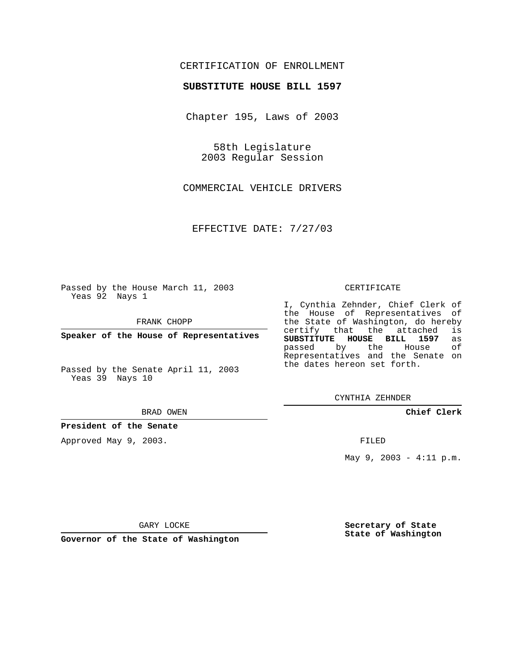## CERTIFICATION OF ENROLLMENT

### **SUBSTITUTE HOUSE BILL 1597**

Chapter 195, Laws of 2003

58th Legislature 2003 Regular Session

COMMERCIAL VEHICLE DRIVERS

EFFECTIVE DATE: 7/27/03

Passed by the House March 11, 2003 Yeas 92 Nays 1

FRANK CHOPP

**Speaker of the House of Representatives**

Passed by the Senate April 11, 2003 Yeas 39 Nays 10

#### BRAD OWEN

**President of the Senate**

Approved May 9, 2003.

#### CERTIFICATE

I, Cynthia Zehnder, Chief Clerk of the House of Representatives of the State of Washington, do hereby<br>certify that the attached is certify that the attached **SUBSTITUTE HOUSE BILL 1597** as passed by the House Representatives and the Senate on the dates hereon set forth.

CYNTHIA ZEHNDER

**Chief Clerk**

FILED

May  $9, 2003 - 4:11 \text{ p.m.}$ 

GARY LOCKE

**Governor of the State of Washington**

**Secretary of State State of Washington**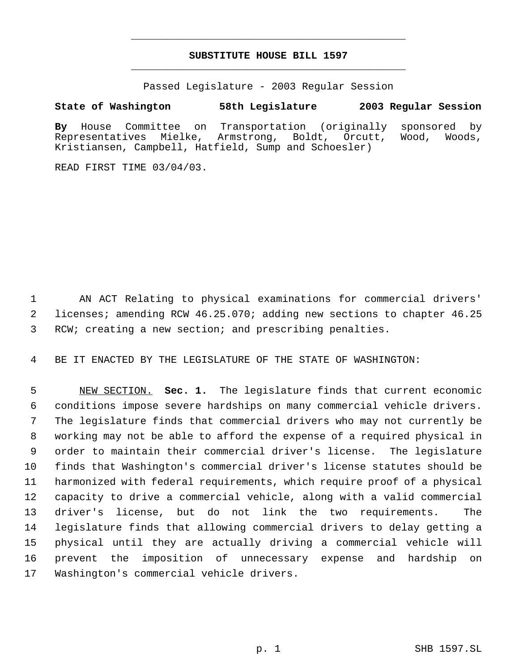# **SUBSTITUTE HOUSE BILL 1597** \_\_\_\_\_\_\_\_\_\_\_\_\_\_\_\_\_\_\_\_\_\_\_\_\_\_\_\_\_\_\_\_\_\_\_\_\_\_\_\_\_\_\_\_\_

\_\_\_\_\_\_\_\_\_\_\_\_\_\_\_\_\_\_\_\_\_\_\_\_\_\_\_\_\_\_\_\_\_\_\_\_\_\_\_\_\_\_\_\_\_

Passed Legislature - 2003 Regular Session

## **State of Washington 58th Legislature 2003 Regular Session**

**By** House Committee on Transportation (originally sponsored by Representatives Mielke, Armstrong, Boldt, Orcutt, Wood, Kristiansen, Campbell, Hatfield, Sump and Schoesler)

READ FIRST TIME 03/04/03.

 AN ACT Relating to physical examinations for commercial drivers' licenses; amending RCW 46.25.070; adding new sections to chapter 46.25 RCW; creating a new section; and prescribing penalties.

BE IT ENACTED BY THE LEGISLATURE OF THE STATE OF WASHINGTON:

 NEW SECTION. **Sec. 1.** The legislature finds that current economic conditions impose severe hardships on many commercial vehicle drivers. The legislature finds that commercial drivers who may not currently be working may not be able to afford the expense of a required physical in order to maintain their commercial driver's license. The legislature finds that Washington's commercial driver's license statutes should be harmonized with federal requirements, which require proof of a physical capacity to drive a commercial vehicle, along with a valid commercial driver's license, but do not link the two requirements. The legislature finds that allowing commercial drivers to delay getting a physical until they are actually driving a commercial vehicle will prevent the imposition of unnecessary expense and hardship on Washington's commercial vehicle drivers.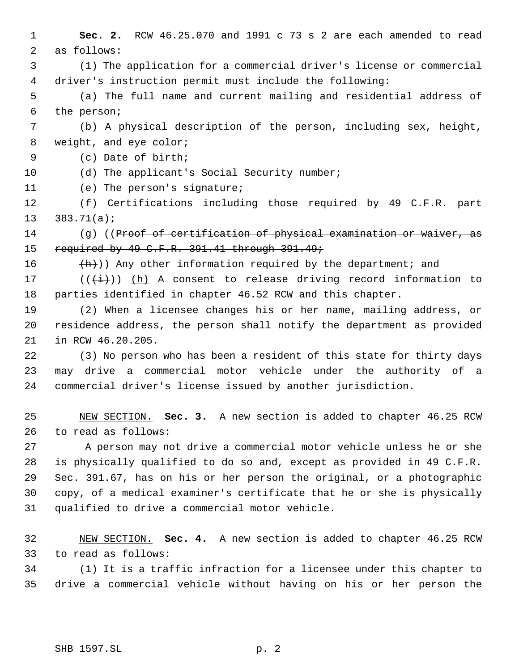**Sec. 2.** RCW 46.25.070 and 1991 c 73 s 2 are each amended to read as follows: (1) The application for a commercial driver's license or commercial driver's instruction permit must include the following: (a) The full name and current mailing and residential address of the person; (b) A physical description of the person, including sex, height, 8 weight, and eye color; (c) Date of birth; 10 (d) The applicant's Social Security number; (e) The person's signature; (f) Certifications including those required by 49 C.F.R. part 383.71(a); (g) ((Proof of certification of physical examination or waiver, as 15 required by 49 C.F.R. 391.41 through 391.49;  $(h)$ ) Any other information required by the department; and 17 ( $(\frac{1}{1})$ ) (h) A consent to release driving record information to parties identified in chapter 46.52 RCW and this chapter. (2) When a licensee changes his or her name, mailing address, or residence address, the person shall notify the department as provided in RCW 46.20.205. (3) No person who has been a resident of this state for thirty days may drive a commercial motor vehicle under the authority of a commercial driver's license issued by another jurisdiction. NEW SECTION. **Sec. 3.** A new section is added to chapter 46.25 RCW to read as follows: A person may not drive a commercial motor vehicle unless he or she is physically qualified to do so and, except as provided in 49 C.F.R. Sec. 391.67, has on his or her person the original, or a photographic copy, of a medical examiner's certificate that he or she is physically qualified to drive a commercial motor vehicle. NEW SECTION. **Sec. 4.** A new section is added to chapter 46.25 RCW to read as follows: (1) It is a traffic infraction for a licensee under this chapter to drive a commercial vehicle without having on his or her person the